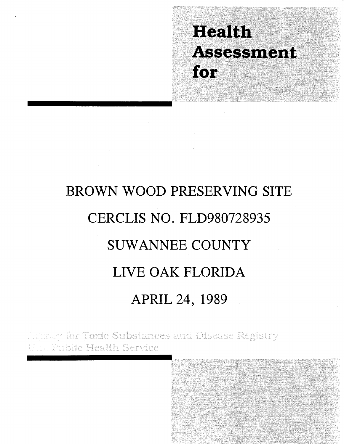# **Health** Assessment for

# BROWN WOOD PRESERVING SITE CERCLIS NO. FLD980728935 SUWANNEE COUNTY LIVE OAK FLORIDA APRIL 24, 1989

gency for Toxic Substances and Disease Registry b Public Health Service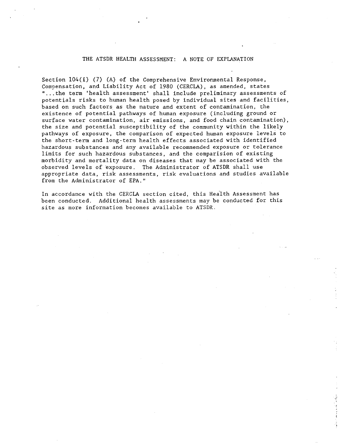# THE ATSDR HEALTH ASSESSMENT: A NOTE OF EXPLANATION

Section  $104(i)$  (7) (A) of the Comprehensive Environmental Response, Compensation, and Liability Act of 1980 (CERCLA), as amended, states " ... the term 'health assessment' shall include preliminary assessments of potentials risks to human health posed by individual sites and facilities, based on such factors as the nature and extent of contamination, the existence of potential pathways of human exposure (including ground or surface water contamination, air emissions, and food chain contamination), the size and potential susceptibility of the community within the likely pathways of exposure, the comparison of expected human exposure levels to the short-term and long-term health effects associated with identified hazardous substances and any available recommended exposure or tolerance limits for such hazardous substances, and the comparision of existing morbidity and mortality data on diseases that may be associated with the observed levels of 'exposure. The Administrator of ATSDR shall use appropriate data, risk assessments, risk evaluations and studies available from the Administrator of EPA."

In accordance with the CERCLA section cited, this Health Assessment has been conducted. Additional health assessments may be conducted for this site as more information becomes available to ATSDR.

 $\label{eq:2.1} \frac{1}{2} \int_{\mathbb{R}^3} \frac{1}{2} \int_{\mathbb{R}^3} \frac{1}{2} \int_{\mathbb{R}^3} \frac{1}{2} \int_{\mathbb{R}^3} \frac{1}{2} \int_{\mathbb{R}^3} \frac{1}{2} \int_{\mathbb{R}^3} \frac{1}{2} \int_{\mathbb{R}^3} \frac{1}{2} \int_{\mathbb{R}^3} \frac{1}{2} \int_{\mathbb{R}^3} \frac{1}{2} \int_{\mathbb{R}^3} \frac{1}{2} \int_{\mathbb{R}^3} \frac$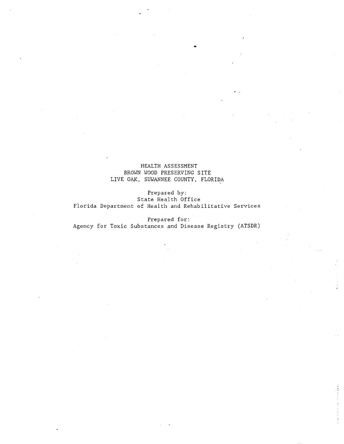# HEALTH ASSESSMENT BROWN WOOD PRESERVING SITE LIVE OAK, SUWANNEE COUNTY, FLORIDA

•

Prepared by: State Health Office Florida Department of Health and Rehabilitative Services

Prepared for: Agency for Toxic Substances and Disease Registry (ATSDR)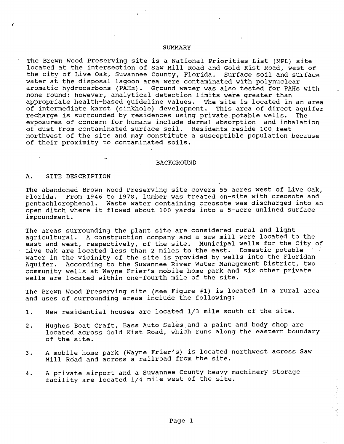#### SUMMARY

The Brown Wood preserving site is a National Priorities List (NPL) site located at the intersection of Saw Mill Road and Gold Kist Road, west of<br>the city of Live Oak, Suwannee County, Florida. Surface soil and surface the city of Live Oak, Suwannee County, Florida. water at the disposal lagoon area were contaminated with polynuclear aromatic hydrocarbons (PARs). Ground water was also tested for PARs with none found; however, analytical detection limits were greater than appropriate health-based guideline values. The site is located in an area of intermediate karst (sinkhole) development. This area of direct aquifer recharge is surrounded by residences using private potable wells. The exposures of concern for humans include dermal absorption and inhalation of dust from contaminated surface soil. Residents reside 100 feet northwest of the site and may constitute a susceptible population because of their proximity to contaminated soils.

#### BACKGROUND

# A. SITE DESCRIPTION

 $\epsilon$ 

The abandoned Brown Wood Preserving site covers 55 acres west of Live Oak, Florida. From 1946 to 1978, lumber was treated on-site with creosote and pentachlorophenol. Waste water containing creosote was discharged into an pentacniorophenoi. Waste water containing creosote was uischarged into a<br>open ditch where it flowed about 100 yards into a 5-acre unlined surface impoundment.

The areas surrounding the plant site are considered rural and light agricultural. A construction company and a saw mill were located to the east and west, respectively, of the site. Municipal wells for the city of Live Oak are located less than 2 miles to the east. Domestic potable water in the vicinity of the site is provided by wells into the Floridan<br>Aquifer. According to the Suwannee River Water Management District, two According to the Suwannee River Water Management District, two community wells at Wayne Frier's mobile home park and six other private wells are located within one-fourth mile of the site.

The Brown Wood Preserving site (see Figure #1) is located in a rural area and uses of surrounding areas include the following:

- 1. New residential houses are located 1/3 mile south of the site.
- 2. Hughes Boat Craft, Bass Auto Sales. and a paint and body shop are located across Gold Kist Road, which runs along the eastern boundary of the site.
- 3. A mobile home park (Wayne Frier's) is located northwest across Saw Mill Road and across a railroad from the site.
- 4. A private airport and a Suwannee County heavy machinery storage facility are located 1/4 mile west of the site.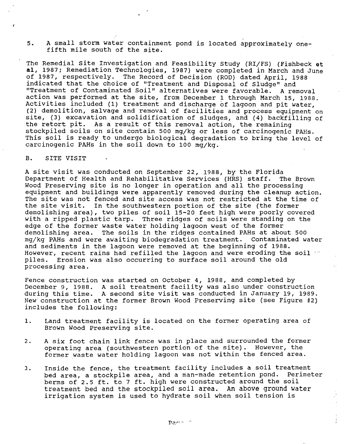5. A small storm water containment pond is located approximately onefifth mile south of the site.

The Remedial site Investigation and Feasibility study (RI/FS) (Fishbeck at **al,** 1987; Remediation Technologies, 1987) were completed in March and June of 1987, respectively. The Record of Decision (ROD) dated April, 1988 indicated that the choice of "Treatment and Disposal of Sludge" and "Treatment of contaminated Soil" alternatives were favorable. A removal action was performed at the site, from December 1 through March 15, 1988. Activities included (1) treatment and discharge of lagoon and pit water, (2) demolition, salvage and removal of facilities and process equipment on site, (3) excavation and solidification of sludges, and (4) backfilling of the retort pit. As a result of this removal action, the remaining stockpiled soils on site contain 500 mg/kg or less of carcinogenic PAHs. This soil is ready to undergo biological degradation ·to bring the level of carcinogenic PAHs in the soil down to 100 mg/kg.

# B. SITE VISIT

A site visit was conducted on September 22, 1988, by the Florida<br>Department of Health and Rehabilitative Services (HRS) staff. The Brown Department of Health and Rehabilitative Services (HRS) staff. Wood Preserving site is no longer in operation and all the processing equipment and buildings were apparently removed during the cleanup action. The site was not fenced and site access was not restricted at the time of the site visit. In the southwestern portion of the site (the former demolishing area), two piles of soil 15-20 feet high were poorly covered with a ripped plastic tarp. Three ridges of soils were standing on the edge of the former waste water holding lagoon west of the former demolishing area. The soils in the ridges contained PARs at about 500 mg/kg PARs and were awaiting biodegradation treatment. contaminated water and sediments in the lagoon were removed at the beginning of 1988. However, recent rains had refilled the lagoon and were eroding the soil  $\pm\pi$  piles. Erosion was also occurring to surface soil around the old Erosion was also occurring to surface soil around the old processing area.

Fence construction was started on October 4, 1988, and completed by December 9, 1988. A soil treatment facility was also under construction during this time. A second site visit was conducted in January 19, 1989. New' construction at the former Brown Wood Preserving site (see Figure #2) includes the following:

- 1. Land treatment facility is located on the former operating area of Brown Wood Preserving site.
- 2. A six foot chain link fence was in place and surrounded the former operating area (southwestern portion of the site). However, the former waste water holding lagoon was not within the fenced area.
- 3. Inside the fence, the treatment facility includes a soil treatment bed area, a stockpile area, and a man-made retention pond. Perimeter berms of 2.5 ft. to 7 ft. high were constructed around the soil treatment bed and the stockpiled soil area. An above ground water irrigation system is used to hydrate soil when soil tension is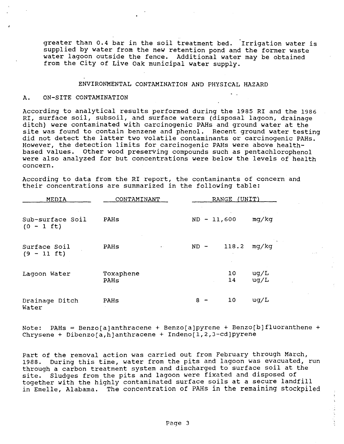greater than 0.4 bar in the soil treatment bed. Irrigation water is supplied by water from the new retention pond and the former waste water lagoon outside the fence. Additional water may be obtained from the city of Live Oak municipal water supply.

# ENVIRONMENTAL CONTAMINATION AND PHYSICAL HAZARD

# A. ON-SITE CONTAMINATION

According to analytical results performed during the 1985 RI and the 1986 RI, surface soil, subsoil, and surface waters (disposal lagoon, drainage ditch) were contaminated with carcinogenic PARs and ground water at the site was found to contain benzene and phenol. Recent ground water testing did not detect the latter two volatile contaminants or carcinogenic PAHs. However, the detection limits for carcinogenic PAHs were above healthbased values. Other wood preserving compounds such as pentachlorophenol were also analyzed for but concentrations were below the levels of health concern.

According to data from the RI report, the contaminants of concern and their concentrations are summarized in the following table:

| MEDIA                            | CONTAMINANT       | (UNIT)<br>RANGE |                            |
|----------------------------------|-------------------|-----------------|----------------------------|
| Sub-surface Soil<br>$(0 - 1 ft)$ | PAHS              | $ND - 11,600$   | mg/kg                      |
| Surface Soil<br>$(9 - 11 ft)$    | PAHs<br>$\bullet$ | 118.2<br>$ND -$ | mg/kq                      |
| Lagoon Water                     | Toxaphene<br>PAHs | 10<br>14        | $\mu$ g/L<br>$\text{ug/L}$ |
| Drainage Ditch<br>Water          | PAHS              | 10<br>8         | uq/L                       |

Note: PAHs = Benzo[a]anthracene + Benzo[a]pyrene + Benzo[b]fluoranthene + Chrysene + Dibenzo[a,h]anthracene + Indeno[I,2,3-cd]pyrene

Part of the removal action was carried out from February through March, 1988. During this time, water from the pits and lagoon was evacuated, run through a carbon treatment system and discharged to surface soil at the site. Sludges from the pits and lagoon were fixated and disposed of together with the highly contaminated surface soils at a secure landfill in Emelle, Alabama. The concentration of PARs in the remaining stockpiled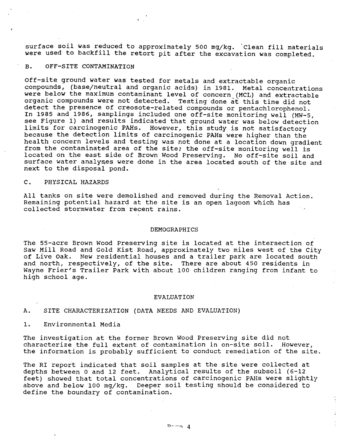surface soil was reduced to approximately 500 mg/kg. Clean fill materials were used to backfill the retort pit after the excavation was completed.

# B. OFF-SITE CONTAMINATION

Off-site ground water was tested for metals and extractable organic compounds, (base/neutral and organic acids) in 1981. Metal concentrations were below the maximum contaminant level of concern (MCL) and extractable organic compounds were not detected. Testing done at this time did not detect the presence of creosote-related compounds or pentachlorophenol. In 1985 and 1986, samplings included one off-site monitoring well (MW-5, see Figure 1) and results indicated that ground water was below detection limits for carcinogenic PAHs. However, this study is not satisfactory because the detection limits of carcinogenic PARs were higher than the health concern levels and testing was not done at a location down gradient from the contaminated area of the site; the off-site monitoring well is located on the east side of Brown Wood Preserving. No off-site soil and surface water analyses were done in the area located south of the site and next to the disposal pond.

#### C. PHYSICAL HAZARDS

All tanks on site were demolished and removed during the Removal Action. Remaining potential hazard at the site is an open lagoon which has collected stormwater from recent rains.

#### DEMOGRAPHICS

The 55-acre Brown Wood preserving site is located at the intersection of Saw Mill Road and Gold Kist Road, approximately two miles west of the City of Live Oak. New residential houses and a trailer park are located south and north, respectively, of the site. There are about 450 residents in Wayne Frier's Trailer Park with about 100 children ranging from infant to high school age.

#### EVALUATION

# A. SITE CHARACTERIZATION (DATA NEEDS AND EVALUATION)

# 1. Environmental Media

The investigation at the former Brown Wood Preserving site did not characterize the full extent of contamination in on-site soil. However, the information is probably sufficient to conduct remediation of the site.

The RI report indicated that soil samples at the site were collected at depths between 0 and 12 feet. Analytical results of the subsoil (6-12 feet) showed that total concentrations of carcinogenic PARs were slightly above and below 100 mg/kg. Deeper soil testing should be considered to define the boundary of contamination.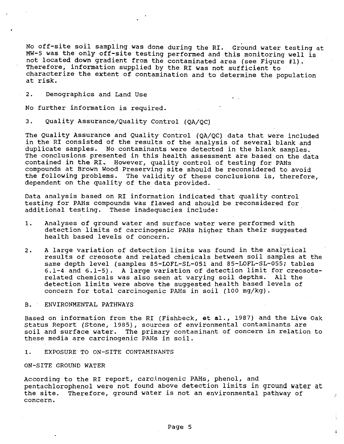No off-site soil sampling was done during the RI. Ground water testing at MW-5 was the only off-site testing performed and this monitoring well is not located down gradient from the contaminated area (see Figure #1). Therefore, information supplied by the RI was not sufficient to characterize the extent of contamination and to determine the population at risk.

2. Demographics and Land Use

No further information is required.

3. Quality Assurance/Quality Control (QA/QC)

The Quality Assurance and Quality Control (QA/QC) data that were included in the RI consisted of the results of the analysis of several blank and duplicate samples. No contaminants were detected in the blank samples. The conclusions presented in this health assessment are based on the data contained in the RI. However, quality control of testing for PAHs compounds at Brown Wood Preserving site should be reconsidered to avoid the following problems. The validity of these conclusions is, therefore, dependent on the quality of the data provided.

Data analysis based on RI information indicated that quality control testing for PARs compounds was flawed and should be reconsidered for additional testing. These inadequacies include:

- 1. Analyses of ground water and surface water were performed with detection limits of carcinogenic PARs higher than their suggested health based levels of concern.
- 2. A large variation of detection limits was found in the analytical results of creosote and related chemicals between soil samples at the same depth level (samples 85-LOFL-SL-051 and 85-LOFL-SL-055; tables 6.1-4 and 6.1-5). A large variation of detection limit for creosote-<br>related chemicals was also seen at varving soil depths. All the related chemicals was also seen at varying soil depths. detection limits were above the suggested health based levels of concern for total carcinogenic PAHs in soil (100 mg/kg).

# B. . ENVIRONMENTAL PATHWAYS

Based on information from the RI (Fishbeck, et al., 1987) and the Live Oak Status Report (Stone, 1985), sources of environmental contaminants are soil and surface water. The primary contaminant of concern in relation to these media are carcinogenic PAHs in soil.

# 1. EXPOSURE TO ON-SITE CONTAMINANTS

# ON-SITE GROUND WATER

According to the RI report, carcinogenic PAHs, phenol, and pentachlorophenol were not found above detection limits in ground water at<br>the site. Therefore, ground water is not an environmental pathway of Therefore, ground water is not an environmental pathway of concern.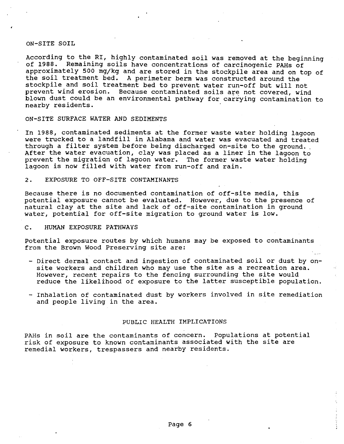# ON-SITE SOIL

According to the RI, highly contaminated soil was removed at the beginning of 1988. Remaining soils have concentrations of carcinogenic PARs of approximately 500 mg/kg and are stored in the stockpile area and on top of the soil treatment bed. A perimeter berm was constructed around the stockpile and soil treatment bed to prevent water run-off but will not prevent wind erosion. Because contaminated soils are not covered, wind blown dust could be an environmental pathway for carrying contamination to nearby residents. .

# ON-SITE SURFACE WATER AND SEDIMENTS

In 1988, contaminated sediments at the former waste water holding lagoon were trucked to a landfill in Alabama and water was evacuated and treated<br>through a filter system before being discharged on-site to the ground. After the water evacuation, clay was placed as a liner in the lagoon to prevent the migration of lagoon water. The former waste water holding lagoon is now filled with water from run-off and rain.

# 2. EXPOSURE TO OFF-SITE CONTAMINANTS

Because there is no documented contamination of off-site media, this potential exposure cannot be evaluated. However, due to the presence of natural clay at the site and lack of off-site contamination in ground water, potential for off-site migration to ground water is low.

# C. HUMAN EXPOSURE PATHWAYS

Potential exposure routes by which humans may be exposed to contaminants from the Brown Wood preserving site are:

- Direct dermal contact and ingestion of contaminated soil or dust by onsite workers and children who may use the site as a recreation area. However, recent repairs to the fencing surrounding the site would reduce the likelihood of exposure to the latter susceptible population.
- Inhalation of contaminated dust by workers involved in site remediation and people living in the area.

# PUBLIC HEALTH IMPLICATIONS

PAHs in soil are the contaminants of concern. populations at potential risk of exposure to known contaminants associated with the site are remedial workers, trespassers and nearby residents.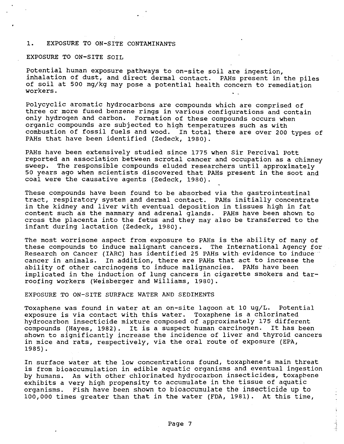# 1. EXPOSURE TO ON-SITE CONTAMINANTS

#### EXPOSURE TO ON-SITE SOIL

Potential human exposure pathways to on-site soil are ingestion, inhalation of dust, and direct dermal contact. PAHs present in the piles of soil at 500 mg/kg may pose a potential health concern to remediation workers.

Polycyclic aromatic hydrocarbons are compounds which are comprised of three or more fused benzene rings in various configurations and contain only hydrogen and carbon. Formation of these compounds occurs when organic compounds are subjected to high temperatures such as with combustion of fossil fuels and wood. In total there are over 200 types of PAHs that have been identified (Zedeck, 1980).

PAHs have been extensively studied since 1775 when Sir Percival Pott reported an association between scrotal cancer and occupation as a chimney sweep. The responsible compounds eluded researchers until approximately 50 years ago when scientists discovered that PAHs present in the soot and coal were the causative agents (Zedeck, 1980).

These compounds have been found to be absorbed via the gastrointestinal tract, respiratory system and dermal contact. PAHs initially concentrate in the kidney and liver with eventual deposition in tissues high in fat content such a's the mammary and adrenal glands. PAHs have been shown to cross the placenta into the fetus and they may also be transferred to the infant during lactation (Zedeck, 1980).

The most worrisome aspect from exposure to PARs is the ability of many of these compounds to induce malignant cancers. The International Agency for Research on Cancer (IARC) has identified 25 PARs with evidence to induce cancer in animals. In addition, there are PAHs that act to increase the ability of other carcinogens to induce malignancies. PAHs have been implicated in the induction of lung cancers in cigarette smokers and tarroofing workers (Weisberger and Williams, 1980).

# EXPOSURE TO ON-SITE SURFACE WATER AND SEDIMENTS

Toxaphene was found in water at an on-site lagoon at 10 ug/L. Potential exposure is via contact with this water. Toxaphene is a chlorinated hydrocarbon insecticide mixture composed of approximately 175 different compounds (Hayes, 1982). It is a suspect human carcinogen. It has been shown to significantly increase the incidence of liver and thyroid cancers in mice and rats, respectively, via the oral route of exposure (EPA, 1985) .

In surface water at the low concentrations found, toxaphene's main threat is from bioaccumulation in edible aquatic organisms and eventual ingestion by humans. As with other chlorinated hydrocarbon insecticides, toxaphene exhibits a very high propensity to accumulate in the tissue of aquatic organisms. Fish have been shown to bioaccumulate the insecticide up to 100,000 times greater than that in the water (FDA, 1981). At this time,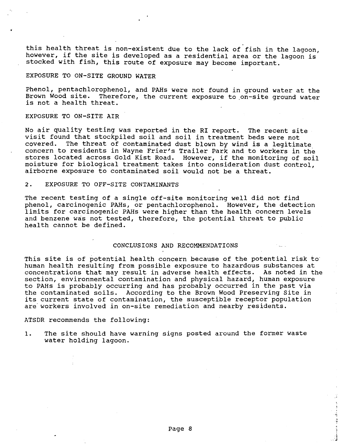this health threat is non-existent due to the lack of fish in the lagoon, however, if the site is developed as a residential area or the lagoon is stocked with fish, this route of exposure may become important.

# EXPOSURE TO ON-SITE GROUND WATER

Phenol, pentachlorophenol, and PARs were not found in ground water at the Brown Wood site. Therefore, the current exposure to on-site ground water is not a health threat.

# EXPOSURE TO ON-SITE AIR

No air quality testing was reported in the RI report. The recent site visit found that stockpiled soil and soil in treatment beds were not<br>covered. The threat of contaminated dust blown by wind is a legitime The threat of contaminated dust blown by wind is a legitimate concern to residents in Wayne Frier's Trailer Park and to workers in the stores located across Gold Kist Road. However, if the monitoring of soil moisture for biological treatment takes into consideration dust control, airborne exposure to contaminated soil would not be a threat.

# 2. EXPOSURE TO OFF-SITE CONTAMINANTS

The recent testing of a single off-site monitoring well did not find phenol, carcinogenic PAHs, or pentachlorophenol. However, the detection limits for carcinogenic PARs were higher than the health concern levels and benzene was not tested, therefore, the potential threat to public health cannot be defined.

# CONCLUSIONS AND RECOMMENDATIONS

This site is of potential health concern because of the potential risk tohuman health resulting from possible exposure to hazardous substances at concentrations that may result in adverse health effects. As noted in the section, environmental contamination and physical hazard, human exposure to PAHs is probably occurring and has probably occurred in the past via the contaminated soils. According to the Brown Wood preserving Site in its current state of contamination, the susceptible receptor population are workers involved in on-site remediation and nearby residents.

#### ATSDR recommends the following:

1. The site should have warning signs posted around the former waste water holding lagoon.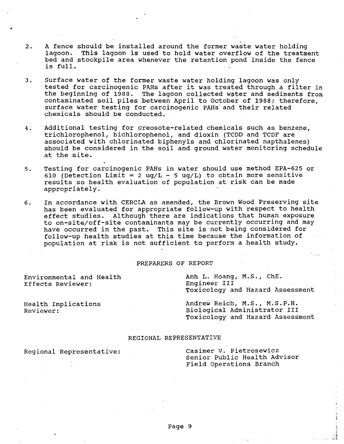- 2. A fence should be installed around the former waste water holding lagoon. This lagoon is used to hold water overflow of the treatment bed and stockpile area whenever the retention pond inside the fence is full.
- 3. Surface water of the former waste water holding lagoon was only tested for carcinogenic PAHs after it was treated through a filter in the beginning of 1988. The lagoon collected water and sediments from contaminated soil piles between April to October of 1988; therefore, surface water testing for carcinogenic PAHs' and their related chemicals should be conducted.
- 4. Additional testing for creosote-related chemicals such as benzene, trichlorophenol, bichlorophenol, and dioxin (TCDD and TCDF are associated with chlorinated biphenyls and chlorinated napthalenes) should be considered in the soil and ground water monitoring schedule at the site.
- 5. Testing for carcinogenic PAHs in water should use method EPA-625 or 610 (Detection Limit = 2 ug/L - 5 ug/L) to obtain more sensitive results so health evaluation of population at risk can be made appropriately.
- 6. In accordance with CERCLA as amended, the Brown Wood Preserving site has been evaluated for appropriate follow-up with respect to health effect studies. Although there are indications that human. exposure to on-site/off-site contaminants may be currently occurring and may have occurred in the past. This site is not being considered for follow-up health studies at this time because the information of population at risk is not sufficient to perform a health study.

# PREPARERS OF REPORT

Environmental and Health Effects Reviewer:

Anh L. Hoang, M.S., ChE. Engineer III Toxicology and Hazard Assessment

Health Implications Reviewer:

Andrew Reich, M.S., M.S.P.H. Biological Administrator III Toxicology and Hazard Assessment

#### REGIONAL REPRESENTATIVE

Regional Representative:

casimer V. Pietrosewicz Senior Public Health Advisor Field Operations Branch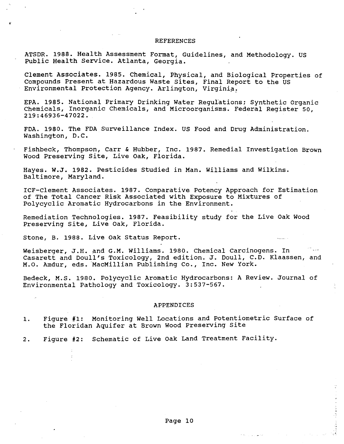#### REFERENCES

ATSDR. 1988. Health Assessment Format, Guidelines, and Methodology. US Public Health Service. Atlanta, Georgia.

Clement Associates. 1985. Chemical, Physical, and Biological Properties of compounds Present at Hazardous Waste Sites, Final Report to the US Environmental Protection Agency. Arlington, Virginia.

EPA. 1985. National Primary Drinking Water Regulations; Synthetic Organic Chemicals, Inorganic Chemicals, and Microorganisms. Federal Register 50, 219:46936-47022.

FDA. 1980. The FDA Surveillance Index. US Food and Drug Administration. Washington, D.C.

Fishbeck, Thompson, Carr & Hubber, Inc. 1987. Remedial Investigation Brown Wood Preserving Site, Live Oak, Florida.

Hayes. W.J. 1982. Pesticides Studied in Man. Williams and Wilkins. Baltimore, Maryland.

ICF-Clement Associates. 1987. Comparative Potency Approach for Estimation of The Total Cancer Risk Associated with Exposure to Mixtures of Polycyclic Aromatic Hydrocarbons in the Environment.

Remediation Technologies. 1987. Feasibility study for the Live Oak Wood Preserving site, Live Oak, Florida.

Stone, B. 1988. Live Oak Status Report.

Weisberger, J.H. and G.M. Williams. 1980. Chemical Carcinogens. In Casarett and Doull's Toxicology, 2nd edition. J. Doull, C.D. Klaassen, and M.O. Amdur, eds. "MacMillian Publishing Co., Inc. New York.

Bedeck, M.S. 1980. Polycyclic Aromatic Hydrocarbons: A Review. Journal of Environmental Pathology and Toxicology. 3:537-567.

#### APPENDICES

- 1. Figure #1: Monitoring Well Locations and Potentiometric Surface of the Floridan Aquifer at Brown Wood Preserving site
- 2. Figure #2: Schematic of Live Oak Land Treatment Facility.